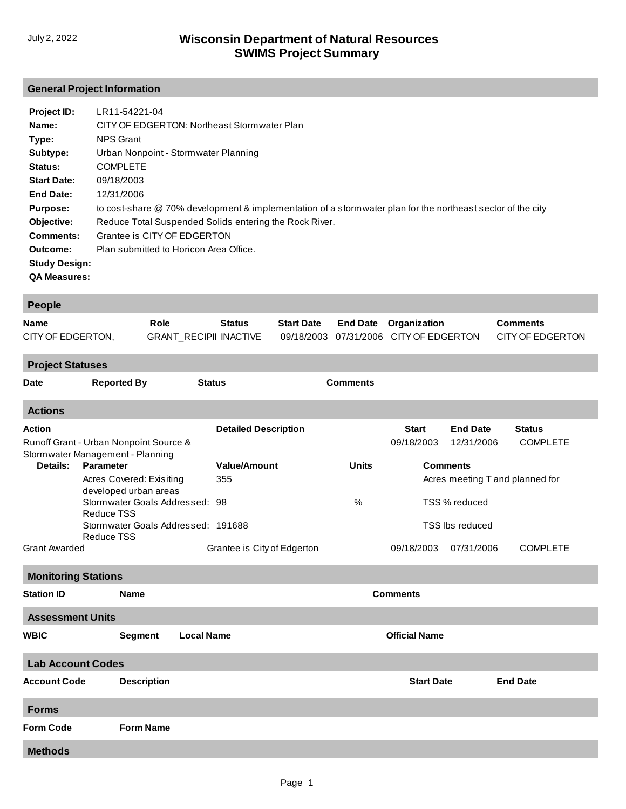## **General Project Information**

| <b>Project ID:</b>   | LR11-54221-04                                                                                              |
|----------------------|------------------------------------------------------------------------------------------------------------|
| Name:                | CITY OF EDGERTON: Northeast Stormwater Plan                                                                |
| Type:                | NPS Grant                                                                                                  |
| Subtype:             | Urban Nonpoint - Stormwater Planning                                                                       |
| <b>Status:</b>       | <b>COMPLETE</b>                                                                                            |
| <b>Start Date:</b>   | 09/18/2003                                                                                                 |
| <b>End Date:</b>     | 12/31/2006                                                                                                 |
| <b>Purpose:</b>      | to cost-share @ 70% development & implementation of a stormwater plan for the northeast sector of the city |
| Objective:           | Reduce Total Suspended Solids entering the Rock River.                                                     |
| Comments:            | Grantee is CITY OF EDGERTON                                                                                |
| Outcome:             | Plan submitted to Horicon Area Office.                                                                     |
| <b>Study Design:</b> |                                                                                                            |
| <b>QA Measures:</b>  |                                                                                                            |

| People                                    |                                                                            |                                     |                             |                   |                      |                            |                               |                                  |  |  |
|-------------------------------------------|----------------------------------------------------------------------------|-------------------------------------|-----------------------------|-------------------|----------------------|----------------------------|-------------------------------|----------------------------------|--|--|
| <b>Name</b>                               |                                                                            | Role                                | <b>Status</b>               | <b>Start Date</b> | <b>End Date</b>      | Organization               |                               | <b>Comments</b>                  |  |  |
| CITY OF EDGERTON,                         |                                                                            | <b>GRANT_RECIPII INACTIVE</b>       |                             | 09/18/2003        | 07/31/2006           | <b>CITY OF EDGERTON</b>    |                               | <b>CITY OF EDGERTON</b>          |  |  |
| <b>Project Statuses</b>                   |                                                                            |                                     |                             |                   |                      |                            |                               |                                  |  |  |
| <b>Date</b>                               | <b>Reported By</b>                                                         |                                     | <b>Status</b>               |                   | <b>Comments</b>      |                            |                               |                                  |  |  |
| <b>Actions</b>                            |                                                                            |                                     |                             |                   |                      |                            |                               |                                  |  |  |
| <b>Action</b>                             | Runoff Grant - Urban Nonpoint Source &<br>Stormwater Management - Planning |                                     | <b>Detailed Description</b> |                   |                      | <b>Start</b><br>09/18/2003 | <b>End Date</b><br>12/31/2006 | <b>Status</b><br><b>COMPLETE</b> |  |  |
| Details:                                  | <b>Parameter</b>                                                           |                                     | <b>Value/Amount</b>         |                   | <b>Units</b>         |                            | <b>Comments</b>               |                                  |  |  |
|                                           | Acres Covered: Exisiting                                                   |                                     | 355                         |                   |                      |                            |                               | Acres meeting T and planned for  |  |  |
|                                           | developed urban areas<br><b>Reduce TSS</b>                                 | Stormwater Goals Addressed: 98      |                             |                   | %                    | TSS % reduced              |                               |                                  |  |  |
|                                           | <b>Reduce TSS</b>                                                          | Stormwater Goals Addressed: 191688  |                             |                   |                      | <b>TSS Ibs reduced</b>     |                               |                                  |  |  |
| <b>Grant Awarded</b>                      |                                                                            |                                     | Grantee is City of Edgerton |                   |                      | 09/18/2003                 | 07/31/2006                    | <b>COMPLETE</b>                  |  |  |
| <b>Monitoring Stations</b>                |                                                                            |                                     |                             |                   |                      |                            |                               |                                  |  |  |
| <b>Station ID</b>                         |                                                                            | <b>Name</b>                         |                             |                   |                      | <b>Comments</b>            |                               |                                  |  |  |
| <b>Assessment Units</b>                   |                                                                            |                                     |                             |                   |                      |                            |                               |                                  |  |  |
| <b>WBIC</b>                               |                                                                            | <b>Segment</b><br><b>Local Name</b> |                             |                   | <b>Official Name</b> |                            |                               |                                  |  |  |
| <b>Lab Account Codes</b>                  |                                                                            |                                     |                             |                   |                      |                            |                               |                                  |  |  |
| <b>Description</b><br><b>Account Code</b> |                                                                            |                                     |                             |                   |                      | <b>Start Date</b>          |                               | <b>End Date</b>                  |  |  |
| <b>Forms</b>                              |                                                                            |                                     |                             |                   |                      |                            |                               |                                  |  |  |
| <b>Form Code</b>                          |                                                                            | <b>Form Name</b>                    |                             |                   |                      |                            |                               |                                  |  |  |
| <b>Methods</b>                            |                                                                            |                                     |                             |                   |                      |                            |                               |                                  |  |  |